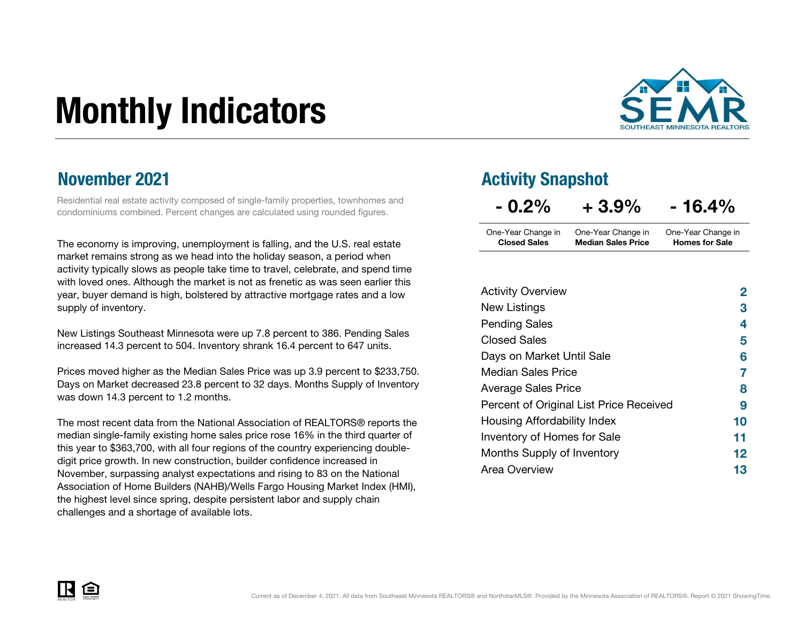# Monthly Indicators



### November 2021

Residential real estate activity composed of single-family properties, townhomes and condominiums combined. Percent changes are calculated using rounded figures.

The economy is improving, unemployment is falling, and the U.S. real estate market remains strong as we head into the holiday season, a period when activity typically slows as people take time to travel, celebrate, and spend time with loved ones. Although the market is not as frenetic as was seen earlier this year, buyer demand is high, bolstered by attractive mortgage rates and a low supply of inventory.

New Listings Southeast Minnesota were up 7.8 percent to 386. Pending Sales increased 14.3 percent to 504. Inventory shrank 16.4 percent to 647 units.

Prices moved higher as the Median Sales Price was up 3.9 percent to \$233,750. Days on Market decreased 23.8 percent to 32 days. Months Supply of Inventory was down 14.3 percent to 1.2 months.

The most recent data from the National Association of REALTORS® reports the median single-family existing home sales price rose 16% in the third quarter of this year to \$363,700, with all four regions of the country experiencing doubledigit price growth. In new construction, builder confidence increased in November, surpassing analyst expectations and rising to 83 on the National Association of Home Builders (NAHB)/Wells Fargo Housing Market Index (HMI), the highest level since spring, despite persistent labor and supply chain challenges and a shortage of available lots.

### Activity Snapshot

| $-0.2\%$            | $+3.9%$                   | $-16.4%$              |
|---------------------|---------------------------|-----------------------|
| One-Year Change in  | One-Year Change in        | One-Year Change in    |
| <b>Closed Sales</b> | <b>Median Sales Price</b> | <b>Homes for Sale</b> |

| <b>Activity Overview</b>                | 2  |
|-----------------------------------------|----|
| New Listings                            | З  |
| <b>Pending Sales</b>                    | 4  |
| <b>Closed Sales</b>                     | 5  |
| Days on Market Until Sale               | 6  |
| <b>Median Sales Price</b>               | 7  |
| <b>Average Sales Price</b>              | 8  |
| Percent of Original List Price Received | 9  |
| Housing Affordability Index             | 10 |
| Inventory of Homes for Sale             | 11 |
| Months Supply of Inventory              | 12 |
| Area Overview                           | 13 |

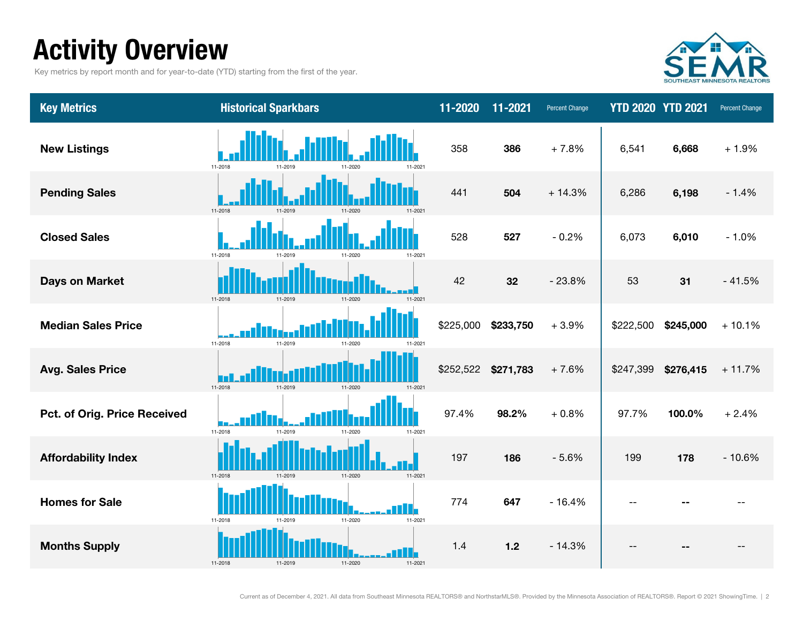# Activity Overview

Key metrics by report month and for year-to-date (YTD) starting from the first of the year.



| <b>Key Metrics</b>           | <b>Historical Sparkbars</b>               | $11 - 2020$ | 11-2021   | <b>Percent Change</b> | <b>YTD 2020 YTD 2021</b> |           | Percent Change |
|------------------------------|-------------------------------------------|-------------|-----------|-----------------------|--------------------------|-----------|----------------|
| <b>New Listings</b>          | 11-2018<br>11-2019<br>11-2020<br>11-2021  | 358         | 386       | $+7.8%$               | 6,541                    | 6,668     | $+1.9%$        |
| <b>Pending Sales</b>         | 11-2018<br>11-2020<br>11-2021<br>11-2019  | 441         | 504       | $+14.3%$              | 6,286                    | 6,198     | $-1.4%$        |
| <b>Closed Sales</b>          | 11-2018<br>11-2020<br>11-2021<br>11-2019  | 528         | 527       | $-0.2%$               | 6,073                    | 6,010     | $-1.0%$        |
| <b>Days on Market</b>        | 11-2018<br>11-2020<br>11-2019<br>11-2021  | 42          | 32        | $-23.8%$              | 53                       | 31        | $-41.5%$       |
| <b>Median Sales Price</b>    | 11-2018<br>11-2019<br>11-2020<br>11-2021  | \$225,000   | \$233,750 | $+3.9%$               | \$222,500                | \$245,000 | $+10.1%$       |
| <b>Avg. Sales Price</b>      | 11-2018<br>11-2019<br>11-2020<br>$11-202$ | \$252,522   | \$271,783 | $+7.6%$               | \$247,399                | \$276,415 | $+11.7%$       |
| Pct. of Orig. Price Received | 11-2018<br>11-2019<br>11-2020<br>11-2021  | 97.4%       | 98.2%     | $+0.8%$               | 97.7%                    | 100.0%    | $+2.4%$        |
| <b>Affordability Index</b>   | 11-2018<br>11-2020<br>11-2021<br>11-2010  | 197         | 186       | $-5.6%$               | 199                      | 178       | $-10.6%$       |
| <b>Homes for Sale</b>        | 11-2020<br>11-2018<br>11-2021<br>11-2019  | 774         | 647       | $-16.4%$              |                          |           |                |
| <b>Months Supply</b>         | 11-2020<br>11-2018<br>11-2021             | 1.4         | $1.2$     | $-14.3%$              |                          |           |                |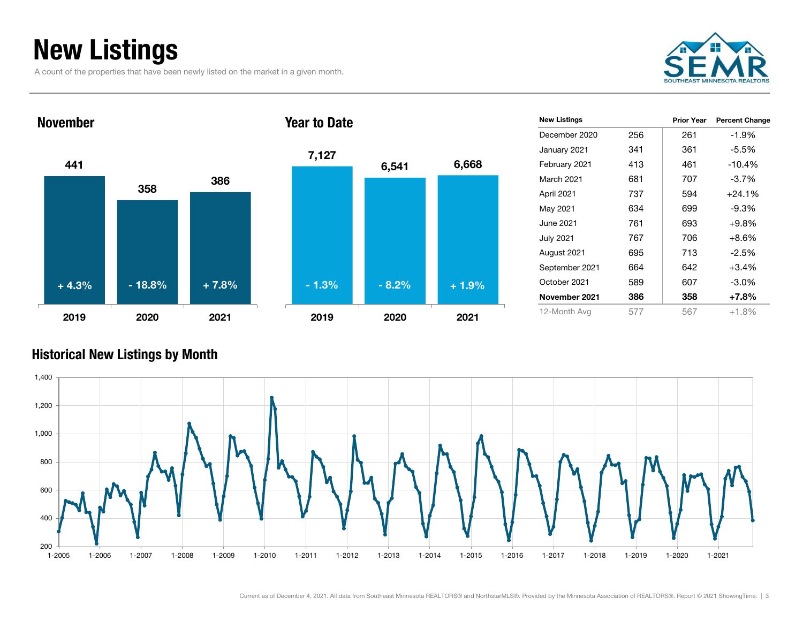# New Listings

A count of the properties that have been newly listed on the market in a given month.





| 7,127   | 6,541   | 6,668   |
|---------|---------|---------|
|         |         |         |
|         |         |         |
| $-1.3%$ | $-8.2%$ | $+1.9%$ |
| 2019    | 2020    | 2021    |

| <b>New Listings</b> |     | <b>Prior Year</b> | <b>Percent Change</b> |
|---------------------|-----|-------------------|-----------------------|
| December 2020       | 256 | 261               | $-1.9%$               |
| January 2021        | 341 | 361               | -5.5%                 |
| February 2021       | 413 | 461               | $-10.4%$              |
| March 2021          | 681 | 707               | $-3.7\%$              |
| April 2021          | 737 | 594               | $+24.1%$              |
| May 2021            | 634 | 699               | $-9.3\%$              |
| June 2021           | 761 | 693               | $+9.8%$               |
| <b>July 2021</b>    | 767 | 706               | $+8.6\%$              |
| August 2021         | 695 | 713               | -2.5%                 |
| September 2021      | 664 | 642               | $+3.4%$               |
| October 2021        | 589 | 607               | $-3.0\%$              |
| November 2021       | 386 | 358               | $+7.8%$               |
| 12-Month Avg        | 577 | 567               | $+1.8%$               |

### Historical New Listings by Month

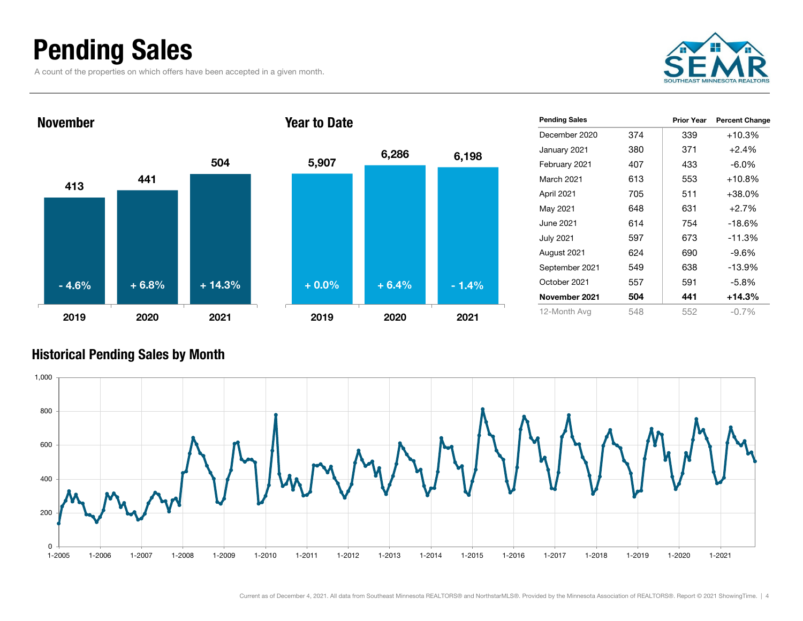# Pending Sales

A count of the properties on which offers have been accepted in a given month.





| <b>Pending Sales</b> |     | <b>Prior Year</b> | <b>Percent Change</b> |
|----------------------|-----|-------------------|-----------------------|
| December 2020        | 374 | 339               | $+10.3%$              |
| January 2021         | 380 | 371               | $+2.4%$               |
| February 2021        | 407 | 433               | $-6.0\%$              |
| March 2021           | 613 | 553               | $+10.8%$              |
| April 2021           | 705 | 511               | $+38.0%$              |
| May 2021             | 648 | 631               | $+2.7%$               |
| June 2021            | 614 | 754               | $-18.6%$              |
| <b>July 2021</b>     | 597 | 673               | $-11.3%$              |
| August 2021          | 624 | 690               | $-9.6%$               |
| September 2021       | 549 | 638               | $-13.9%$              |
| October 2021         | 557 | 591               | $-5.8%$               |
| November 2021        | 504 | 441               | +14.3%                |
| 12-Month Avg         | 548 | 552               | $-0.7\%$              |

### Historical Pending Sales by Month

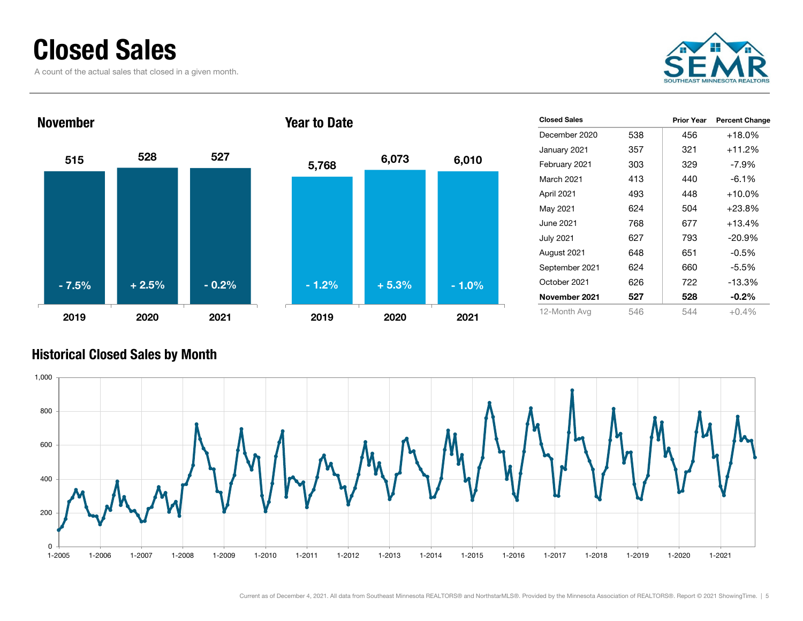### Closed Sales

A count of the actual sales that closed in a given month.







|     | Prior Year | <b>Percent Change</b> |
|-----|------------|-----------------------|
| 538 | 456        | $+18.0\%$             |
| 357 | 321        | $+11.2%$              |
| 303 | 329        | $-7.9\%$              |
| 413 | 440        | $-6.1%$               |
| 493 | 448        | +10.0%                |
| 624 | 504        | $+23.8%$              |
| 768 | 677        | $+13.4%$              |
| 627 | 793        | $-20.9%$              |
| 648 | 651        | $-0.5%$               |
| 624 | 660        | $-5.5%$               |
| 626 | 722        | $-13.3%$              |
| 527 | 528        | $-0.2\%$              |
| 546 | 544        | $+0.4\%$              |
|     |            |                       |

### Historical Closed Sales by Month

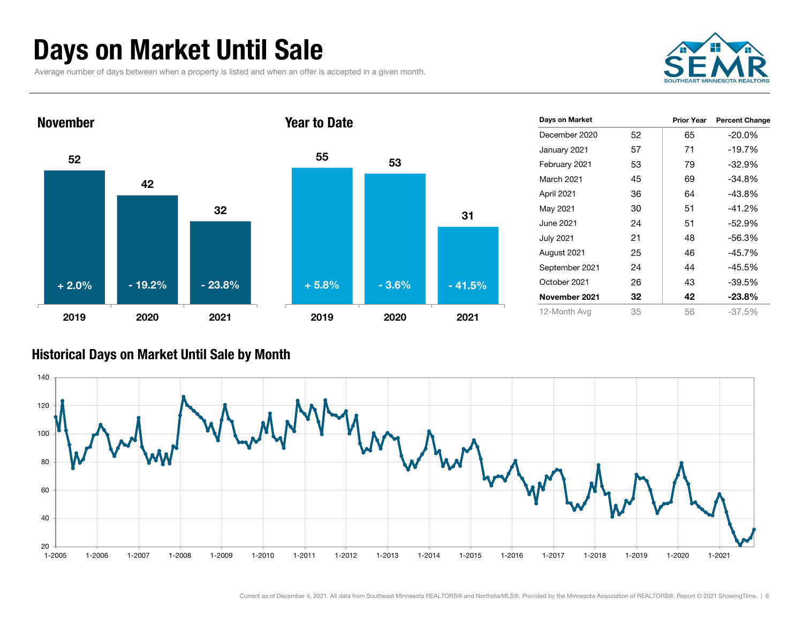# Days on Market Until Sale

Average number of days between when a property is listed and when an offer is accepted in a given month.





| Days on Market    |    | <b>Prior Year</b> | <b>Percent Change</b> |
|-------------------|----|-------------------|-----------------------|
| December 2020     | 52 | 65                | $-20.0%$              |
| January 2021      | 57 | 71                | $-19.7%$              |
| February 2021     | 53 | 79                | $-32.9%$              |
| <b>March 2021</b> | 45 | 69                | $-34.8%$              |
| April 2021        | 36 | 64                | $-43.8%$              |
| May 2021          | 30 | 51                | $-41.2%$              |
| <b>June 2021</b>  | 24 | 51                | $-52.9%$              |
| July 2021         | 21 | 48                | $-56.3%$              |
| August 2021       | 25 | 46                | $-45.7%$              |
| September 2021    | 24 | 44                | $-45.5%$              |
| October 2021      | 26 | 43                | $-39.5%$              |
| November 2021     | 32 | 42                | $-23.8%$              |
| 12-Month Avg      | 35 | 56                | $-37.5%$              |

#### Historical Days on Market Until Sale by Month

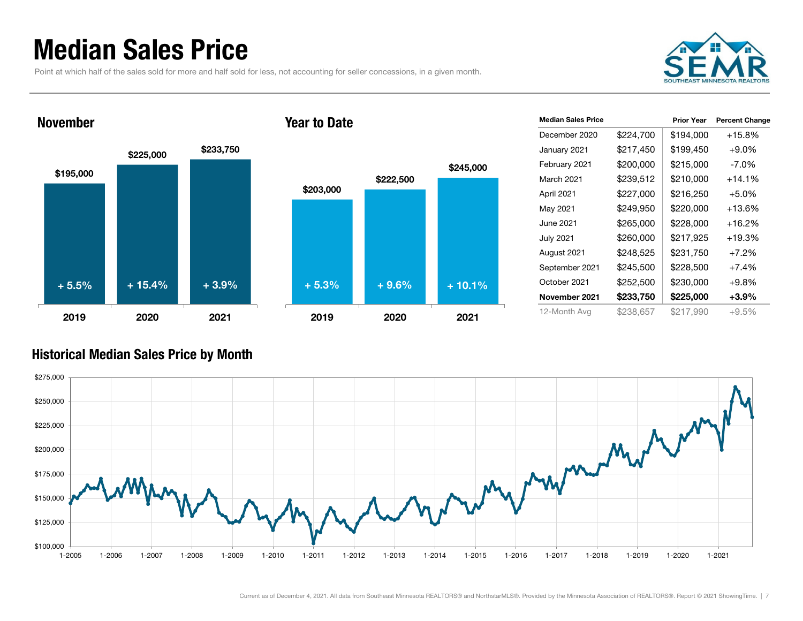### Median Sales Price

November

Point at which half of the sales sold for more and half sold for less, not accounting for seller concessions, in a given month.





#### Year to Date



| <b>Median Sales Price</b> |           | <b>Prior Year</b> | <b>Percent Change</b> |
|---------------------------|-----------|-------------------|-----------------------|
| December 2020             | \$224,700 | \$194,000         | $+15.8%$              |
| January 2021              | \$217,450 | \$199,450         | $+9.0\%$              |
| February 2021             | \$200,000 | \$215,000         | $-7.0\%$              |
| March 2021                | \$239,512 | \$210,000         | $+14.1%$              |
| April 2021                | \$227,000 | \$216,250         | $+5.0%$               |
| May 2021                  | \$249,950 | \$220,000         | +13.6%                |
| June 2021                 | \$265,000 | \$228,000         | +16.2%                |
| July 2021                 | \$260,000 | \$217,925         | $+19.3%$              |
| August 2021               | \$248,525 | \$231,750         | $+7.2\%$              |
| September 2021            | \$245,500 | \$228,500         | $+7.4%$               |
| October 2021              | \$252,500 | \$230,000         | $+9.8\%$              |
| November 2021             | \$233,750 | \$225,000         | $+3.9%$               |
| 12-Month Avg              | \$238.657 | \$217,990         | $+9.5%$               |

### Historical Median Sales Price by Month

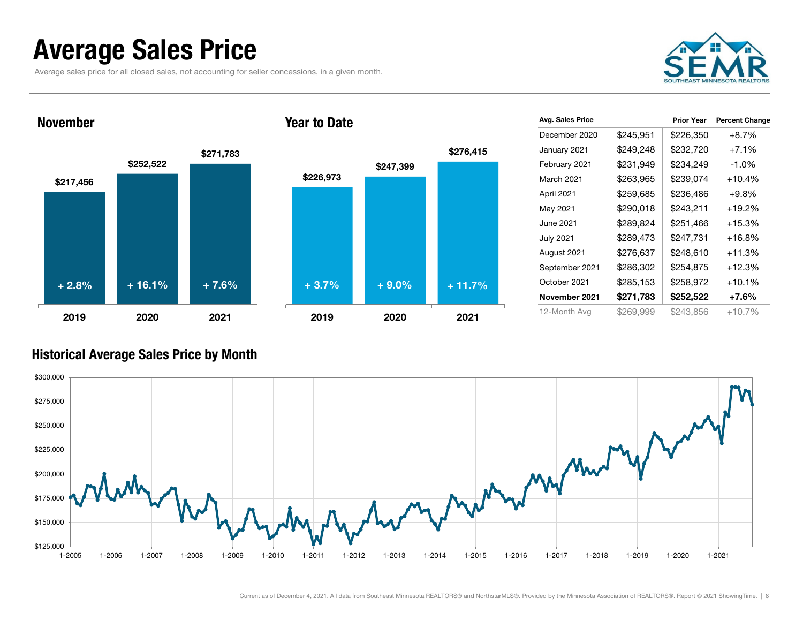### Average Sales Price

Average sales price for all closed sales, not accounting for seller concessions, in a given month.



#### November







| Avg. Sales Price |           | <b>Prior Year</b> | <b>Percent Change</b> |
|------------------|-----------|-------------------|-----------------------|
| December 2020    | \$245,951 | \$226,350         | $+8.7%$               |
| January 2021     | \$249,248 | \$232,720         | $+7.1\%$              |
| February 2021    | \$231,949 | \$234,249         | $-1.0\%$              |
| March 2021       | \$263,965 | \$239,074         | $+10.4%$              |
| April 2021       | \$259,685 | \$236,486         | $+9.8\%$              |
| May 2021         | \$290,018 | \$243,211         | $+19.2%$              |
| June 2021        | \$289,824 | \$251,466         | $+15.3%$              |
| <b>July 2021</b> | \$289,473 | \$247,731         | +16.8%                |
| August 2021      | \$276,637 | \$248,610         | $+11.3%$              |
| September 2021   | \$286,302 | \$254,875         | $+12.3%$              |
| October 2021     | \$285,153 | \$258,972         | $+10.1%$              |
| November 2021    | \$271,783 | \$252,522         | +7.6%                 |
| 12-Month Avg     | \$269,999 | \$243.856         | $+10.7\%$             |

### Historical Average Sales Price by Month

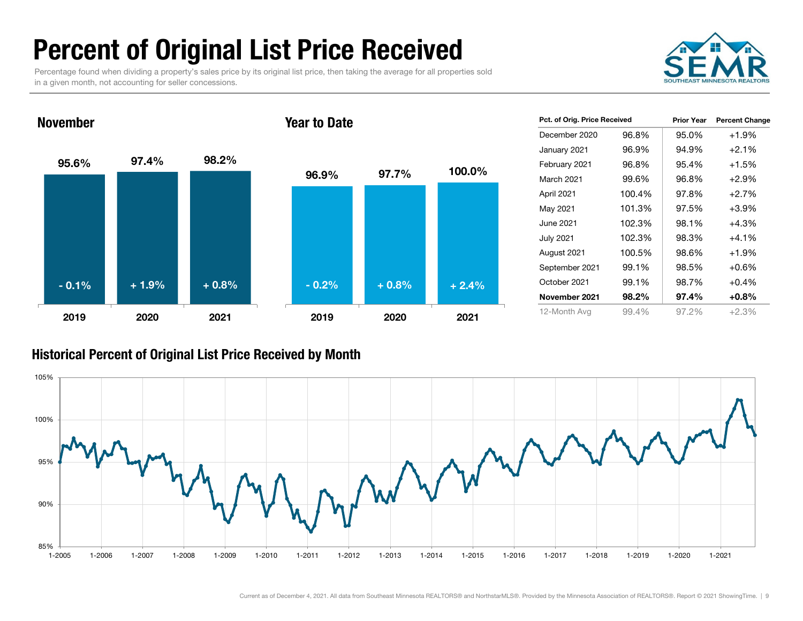# Percent of Original List Price Received

Percentage found when dividing a property's sales price by its original list price, then taking the average for all properties sold in a given month, not accounting for seller concessions.



95.6% 97.4% 98.2% 2019 2020 2021November96.9% 97.7% 100.0% 2019 2020 2021Year to Date- 0.1% $\%$  + 1.9% + 0.8% - 0.2% + 0.8% + 2.4%

| Pct. of Orig. Price Received |        | <b>Prior Year</b> | <b>Percent Change</b> |  |
|------------------------------|--------|-------------------|-----------------------|--|
| December 2020                | 96.8%  | 95.0%             | $+1.9%$               |  |
| January 2021                 | 96.9%  | 94.9%             | $+2.1%$               |  |
| February 2021                | 96.8%  | 95.4%             | $+1.5%$               |  |
| <b>March 2021</b>            | 99.6%  | 96.8%             | $+2.9%$               |  |
| April 2021                   | 100.4% | 97.8%             | $+2.7%$               |  |
| May 2021                     | 101.3% | 97.5%             | $+3.9%$               |  |
| June 2021                    | 102.3% | 98.1%             | +4.3%                 |  |
| <b>July 2021</b>             | 102.3% | 98.3%             | $+4.1%$               |  |
| August 2021                  | 100.5% | 98.6%             | $+1.9%$               |  |
| September 2021               | 99.1%  | 98.5%             | $+0.6%$               |  |
| October 2021                 | 99.1%  | 98.7%             | $+0.4%$               |  |
| November 2021                | 98.2%  | 97.4%             | $+0.8%$               |  |
| 12-Month Avg                 | 99.4%  | 97.2%             | $+2.3%$               |  |

### Historical Percent of Original List Price Received by Month

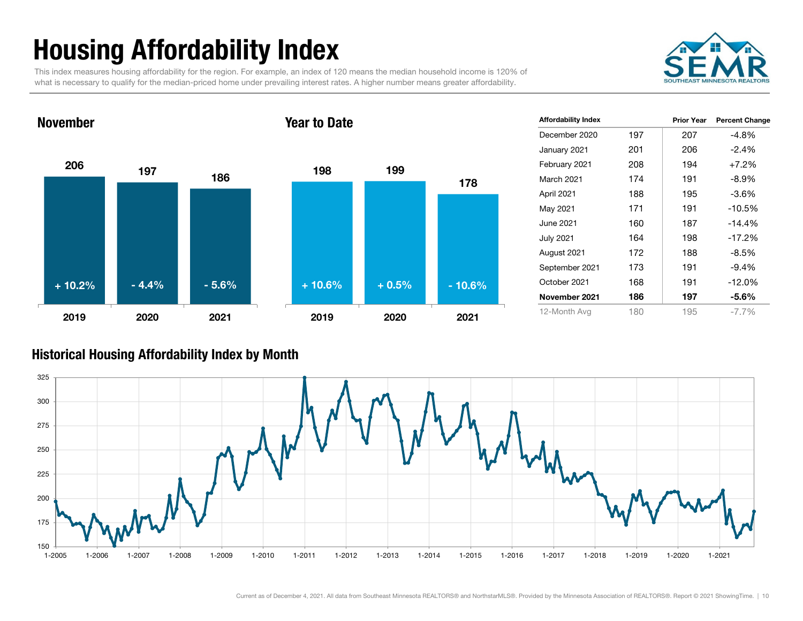# Housing Affordability Index

This index measures housing affordability for the region. For example, an index of 120 means the median household income is 120% of what is necessary to qualify for the median-priced home under prevailing interest rates. A higher number means greater affordability.

Year to Date



### 206 197November



| <b>Affordability Index</b> |     | <b>Prior Year</b> | <b>Percent Change</b> |
|----------------------------|-----|-------------------|-----------------------|
| December 2020              | 197 | 207               | $-4.8%$               |
| January 2021               | 201 | 206               | $-2.4\%$              |
| February 2021              | 208 | 194               | $+7.2%$               |
| March 2021                 | 174 | 191               | $-8.9\%$              |
| April 2021                 | 188 | 195               | $-3.6%$               |
| May 2021                   | 171 | 191               | $-10.5%$              |
| June 2021                  | 160 | 187               | $-14.4%$              |
| <b>July 2021</b>           | 164 | 198               | $-17.2%$              |
| August 2021                | 172 | 188               | $-8.5%$               |
| September 2021             | 173 | 191               | $-9.4%$               |
| October 2021               | 168 | 191               | $-12.0%$              |
| November 2021              | 186 | 197               | $-5.6\%$              |
| 12-Month Avg               | 180 | 195               | $-7.7\%$              |

### Historical Housing Affordability Index by Mont h

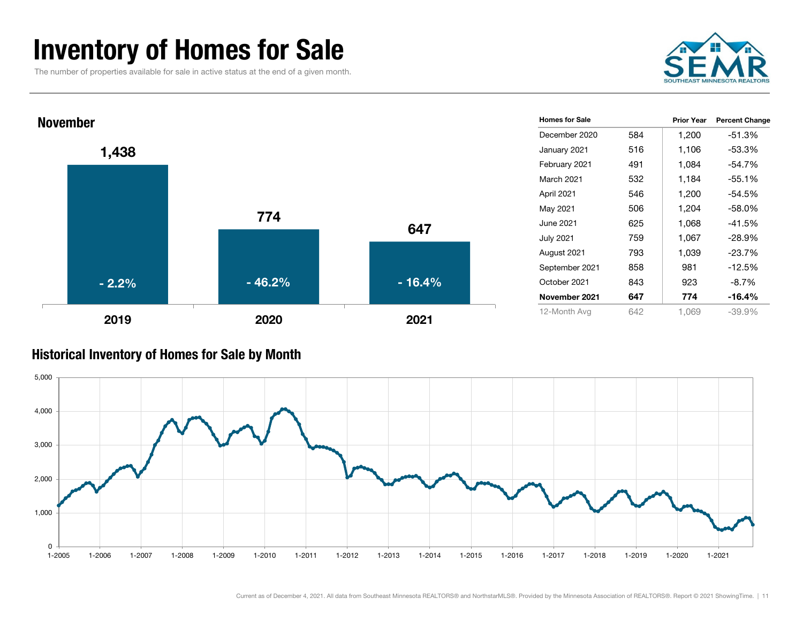### Inventory of Homes for Sale

The number of properties available for sale in active status at the end of a given month.





#### Historical Inventory of Homes for Sale by Month

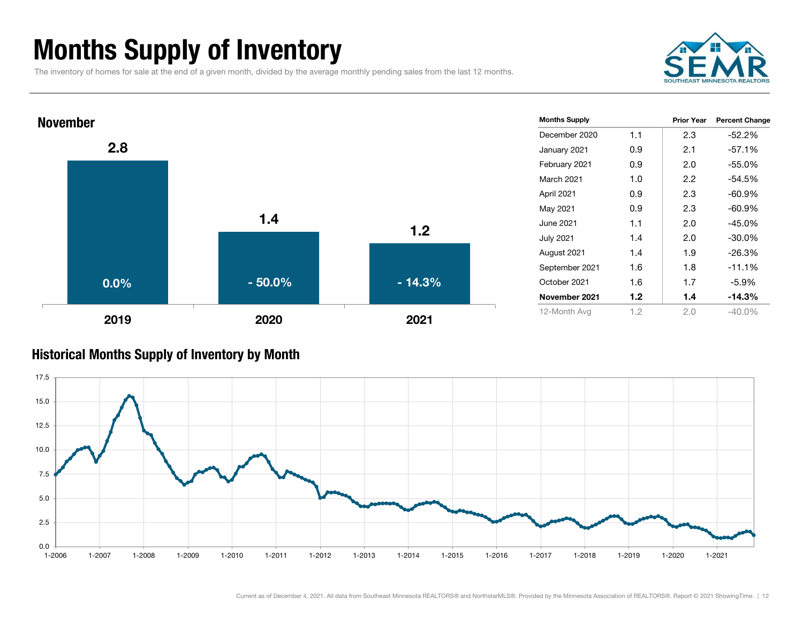# Months Supply of Inventory

The inventory of homes for sale at the end of a given month, divided by the average monthly pending sales from the last 12 months.





#### Historical Months Supply of Inventory by Month